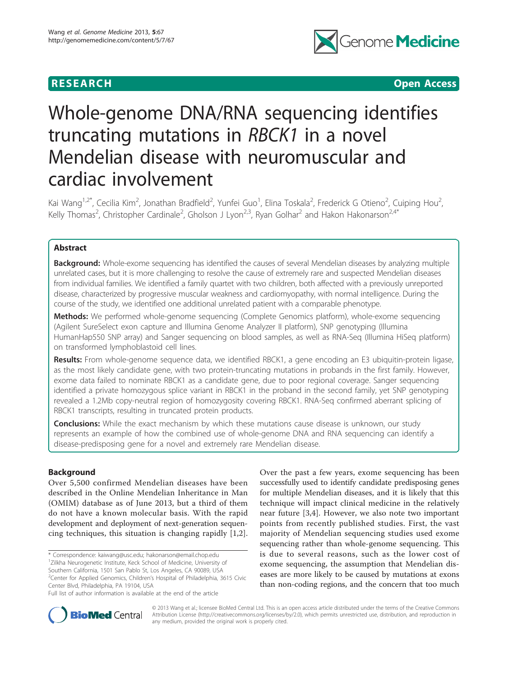

**RESEARCH CONSTRUCTION CONSTRUCTS** 

# Whole-genome DNA/RNA sequencing identifies truncating mutations in RBCK1 in a novel Mendelian disease with neuromuscular and cardiac involvement

Kai Wang<sup>1,2\*</sup>, Cecilia Kim<sup>2</sup>, Jonathan Bradfield<sup>2</sup>, Yunfei Guo<sup>1</sup>, Elina Toskala<sup>2</sup>, Frederick G Otieno<sup>2</sup>, Cuiping Hou<sup>2</sup> , Kelly Thomas<sup>2</sup>, Christopher Cardinale<sup>2</sup>, Gholson J Lyon<sup>2,3</sup>, Ryan Golhar<sup>2</sup> and Hakon Hakonarson<sup>2,4\*</sup>

# Abstract

Background: Whole-exome sequencing has identified the causes of several Mendelian diseases by analyzing multiple unrelated cases, but it is more challenging to resolve the cause of extremely rare and suspected Mendelian diseases from individual families. We identified a family quartet with two children, both affected with a previously unreported disease, characterized by progressive muscular weakness and cardiomyopathy, with normal intelligence. During the course of the study, we identified one additional unrelated patient with a comparable phenotype.

Methods: We performed whole-genome sequencing (Complete Genomics platform), whole-exome sequencing (Agilent SureSelect exon capture and Illumina Genome Analyzer II platform), SNP genotyping (Illumina HumanHap550 SNP array) and Sanger sequencing on blood samples, as well as RNA-Seq (Illumina HiSeq platform) on transformed lymphoblastoid cell lines.

Results: From whole-genome sequence data, we identified RBCK1, a gene encoding an E3 ubiquitin-protein ligase, as the most likely candidate gene, with two protein-truncating mutations in probands in the first family. However, exome data failed to nominate RBCK1 as a candidate gene, due to poor regional coverage. Sanger sequencing identified a private homozygous splice variant in RBCK1 in the proband in the second family, yet SNP genotyping revealed a 1.2Mb copy-neutral region of homozygosity covering RBCK1. RNA-Seq confirmed aberrant splicing of RBCK1 transcripts, resulting in truncated protein products.

**Conclusions:** While the exact mechanism by which these mutations cause disease is unknown, our study represents an example of how the combined use of whole-genome DNA and RNA sequencing can identify a disease-predisposing gene for a novel and extremely rare Mendelian disease.

# Background

Over 5,500 confirmed Mendelian diseases have been described in the Online Mendelian Inheritance in Man (OMIM) database as of June 2013, but a third of them do not have a known molecular basis. With the rapid development and deployment of next-generation sequencing techniques, this situation is changing rapidly [[1,2](#page-7-0)].

\* Correspondence: [kaiwang@usc.edu;](mailto:kaiwang@usc.edu) [hakonarson@email.chop.edu](mailto:hakonarson@email.chop.edu) <sup>1</sup>Zilkha Neurogenetic Institute, Keck School of Medicine, University of Southern California, 1501 San Pablo St, Los Angeles, CA 90089, USA <sup>2</sup>Center for Applied Genomics, Children's Hospital of Philadelphia, 3615 Civic Center Blvd, Philadelphia, PA 19104, USA

Over the past a few years, exome sequencing has been successfully used to identify candidate predisposing genes for multiple Mendelian diseases, and it is likely that this technique will impact clinical medicine in the relatively near future [\[3,4](#page-7-0)]. However, we also note two important points from recently published studies. First, the vast majority of Mendelian sequencing studies used exome sequencing rather than whole-genome sequencing. This is due to several reasons, such as the lower cost of exome sequencing, the assumption that Mendelian diseases are more likely to be caused by mutations at exons than non-coding regions, and the concern that too much



© 2013 Wang et al.; licensee BioMed Central Ltd. This is an open access article distributed under the terms of the Creative Commons Attribution License [\(http://creativecommons.org/licenses/by/2.0](http://creativecommons.org/licenses/by/2.0)), which permits unrestricted use, distribution, and reproduction in any medium, provided the original work is properly cited.

Full list of author information is available at the end of the article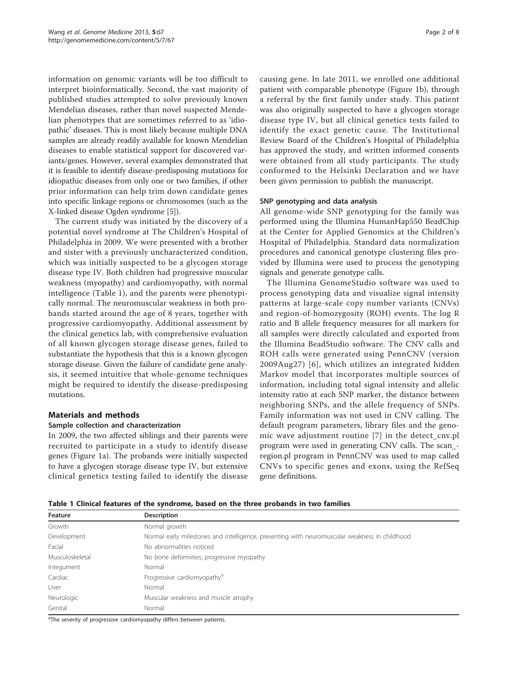information on genomic variants will be too difficult to interpret bioinformatically. Second, the vast majority of published studies attempted to solve previously known Mendelian diseases, rather than novel suspected Mendelian phenotypes that are sometimes referred to as 'idiopathic' diseases. This is most likely because multiple DNA samples are already readily available for known Mendelian diseases to enable statistical support for discovered variants/genes. However, several examples demonstrated that it is feasible to identify disease-predisposing mutations for idiopathic diseases from only one or two families, if other prior information can help trim down candidate genes into specific linkage regions or chromosomes (such as the X-linked disease Ogden syndrome [[5\]](#page-7-0)).

The current study was initiated by the discovery of a potential novel syndrome at The Children's Hospital of Philadelphia in 2009. We were presented with a brother and sister with a previously uncharacterized condition, which was initially suspected to be a glycogen storage disease type IV. Both children had progressive muscular weakness (myopathy) and cardiomyopathy, with normal intelligence (Table 1), and the parents were phenotypically normal. The neuromuscular weakness in both probands started around the age of 8 years, together with progressive cardiomyopathy. Additional assessment by the clinical genetics lab, with comprehensive evaluation of all known glycogen storage disease genes, failed to substantiate the hypothesis that this is a known glycogen storage disease. Given the failure of candidate gene analysis, it seemed intuitive that whole-genome techniques might be required to identify the disease-predisposing mutations.

# Materials and methods

# Sample collection and characterization

In 2009, the two affected siblings and their parents were recruited to participate in a study to identify disease genes (Figure [1a\)](#page-2-0). The probands were initially suspected to have a glycogen storage disease type IV, but extensive clinical genetics testing failed to identify the disease causing gene. In late 2011, we enrolled one additional patient with comparable phenotype (Figure [1b](#page-2-0)), through a referral by the first family under study. This patient was also originally suspected to have a glycogen storage disease type IV, but all clinical genetics tests failed to identify the exact genetic cause. The Institutional Review Board of the Children's Hospital of Philadelphia has approved the study, and written informed consents were obtained from all study participants. The study conformed to the Helsinki Declaration and we have been given permission to publish the manuscript.

## SNP genotyping and data analysis

All genome-wide SNP genotyping for the family was performed using the Illumina HumanHap550 BeadChip at the Center for Applied Genomics at the Children's Hospital of Philadelphia. Standard data normalization procedures and canonical genotype clustering files provided by Illumina were used to process the genotyping signals and generate genotype calls.

The Illumina GenomeStudio software was used to process genotyping data and visualize signal intensity patterns at large-scale copy number variants (CNVs) and region-of-homozygosity (ROH) events. The log R ratio and B allele frequency measures for all markers for all samples were directly calculated and exported from the Illumina BeadStudio software. The CNV calls and ROH calls were generated using PennCNV (version 2009Aug27) [[6\]](#page-7-0), which utilizes an integrated hidden Markov model that incorporates multiple sources of information, including total signal intensity and allelic intensity ratio at each SNP marker, the distance between neighboring SNPs, and the allele frequency of SNPs. Family information was not used in CNV calling. The default program parameters, library files and the genomic wave adjustment routine [[7\]](#page-7-0) in the detect\_cnv.pl program were used in generating CNV calls. The scan\_ region.pl program in PennCNV was used to map called CNVs to specific genes and exons, using the RefSeq gene definitions.

Table 1 Clinical features of the syndrome, based on the three probands in two families

| Feature         | <b>Description</b>                                                                            |
|-----------------|-----------------------------------------------------------------------------------------------|
| Growth          | Normal growth                                                                                 |
| Development     | Normal early milestones and intelligence, presenting with neuromuscular weakness in childhood |
| Facial          | No abnormalities noticed                                                                      |
| Musculoskeletal | No bone deformities; progressive myopathy                                                     |
| Integument      | Normal                                                                                        |
| Cardiac         | Progressive cardiomyopathy <sup>a</sup>                                                       |
| Liver           | Normal                                                                                        |
| Neurologic      | Muscular weakness and muscle atrophy                                                          |
| Genital         | Normal                                                                                        |

<sup>a</sup>The severity of progressive cardiomyopathy differs between patients.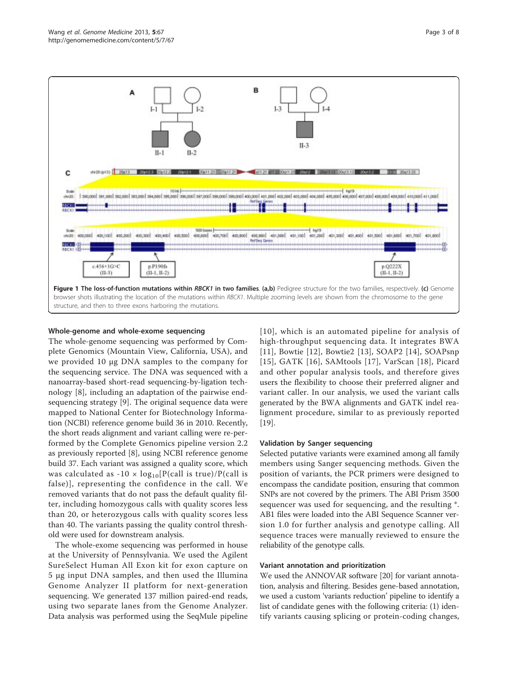<span id="page-2-0"></span>

#### Whole-genome and whole-exome sequencing

The whole-genome sequencing was performed by Complete Genomics (Mountain View, California, USA), and we provided 10 μg DNA samples to the company for the sequencing service. The DNA was sequenced with a nanoarray-based short-read sequencing-by-ligation technology [\[8](#page-7-0)], including an adaptation of the pairwise endsequencing strategy [[9\]](#page-7-0). The original sequence data were mapped to National Center for Biotechnology Information (NCBI) reference genome build 36 in 2010. Recently, the short reads alignment and variant calling were re-performed by the Complete Genomics pipeline version 2.2 as previously reported [[8](#page-7-0)], using NCBI reference genome build 37. Each variant was assigned a quality score, which was calculated as -10  $\times$  log<sub>10</sub>[P(call is true)/P(call is false)], representing the confidence in the call. We removed variants that do not pass the default quality filter, including homozygous calls with quality scores less than 20, or heterozygous calls with quality scores less than 40. The variants passing the quality control threshold were used for downstream analysis.

The whole-exome sequencing was performed in house at the University of Pennsylvania. We used the Agilent SureSelect Human All Exon kit for exon capture on 5 μg input DNA samples, and then used the Illumina Genome Analyzer II platform for next-generation sequencing. We generated 137 million paired-end reads, using two separate lanes from the Genome Analyzer. Data analysis was performed using the SeqMule pipeline [[10](#page-7-0)], which is an automated pipeline for analysis of high-throughput sequencing data. It integrates BWA [[11](#page-7-0)], Bowtie [[12\]](#page-7-0), Bowtie2 [\[13\]](#page-7-0), SOAP2 [[14](#page-7-0)], SOAPsnp [[15](#page-7-0)], GATK [\[16\]](#page-7-0), SAMtools [[17](#page-7-0)], VarScan [\[18\]](#page-7-0), Picard and other popular analysis tools, and therefore gives users the flexibility to choose their preferred aligner and variant caller. In our analysis, we used the variant calls generated by the BWA alignments and GATK indel realignment procedure, similar to as previously reported [[19\]](#page-7-0).

#### Validation by Sanger sequencing

Selected putative variants were examined among all family members using Sanger sequencing methods. Given the position of variants, the PCR primers were designed to encompass the candidate position, ensuring that common SNPs are not covered by the primers. The ABI Prism 3500 sequencer was used for sequencing, and the resulting \*. AB1 files were loaded into the ABI Sequence Scanner version 1.0 for further analysis and genotype calling. All sequence traces were manually reviewed to ensure the reliability of the genotype calls.

# Variant annotation and prioritization

We used the ANNOVAR software [\[20\]](#page-7-0) for variant annotation, analysis and filtering. Besides gene-based annotation, we used a custom 'variants reduction' pipeline to identify a list of candidate genes with the following criteria: (1) identify variants causing splicing or protein-coding changes,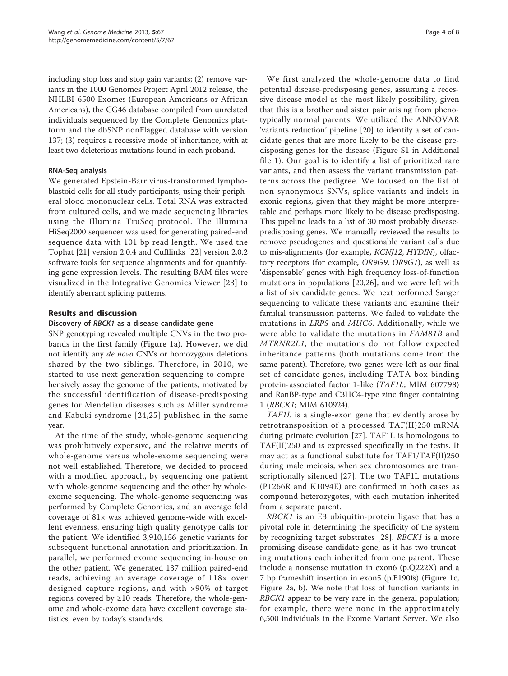including stop loss and stop gain variants; (2) remove variants in the 1000 Genomes Project April 2012 release, the NHLBI-6500 Exomes (European Americans or African Americans), the CG46 database compiled from unrelated individuals sequenced by the Complete Genomics platform and the dbSNP nonFlagged database with version 137; (3) requires a recessive mode of inheritance, with at least two deleterious mutations found in each proband.

# RNA-Seq analysis

We generated Epstein-Barr virus-transformed lymphoblastoid cells for all study participants, using their peripheral blood mononuclear cells. Total RNA was extracted from cultured cells, and we made sequencing libraries using the Illumina TruSeq protocol. The Illumina HiSeq2000 sequencer was used for generating paired-end sequence data with 101 bp read length. We used the Tophat [\[21](#page-7-0)] version 2.0.4 and Cufflinks [\[22](#page-7-0)] version 2.0.2 software tools for sequence alignments and for quantifying gene expression levels. The resulting BAM files were visualized in the Integrative Genomics Viewer [[23](#page-7-0)] to identify aberrant splicing patterns.

# Results and discussion

# Discovery of RBCK1 as a disease candidate gene

SNP genotyping revealed multiple CNVs in the two probands in the first family (Figure [1a\)](#page-2-0). However, we did not identify any de novo CNVs or homozygous deletions shared by the two siblings. Therefore, in 2010, we started to use next-generation sequencing to comprehensively assay the genome of the patients, motivated by the successful identification of disease-predisposing genes for Mendelian diseases such as Miller syndrome and Kabuki syndrome [\[24](#page-7-0),[25](#page-7-0)] published in the same year.

At the time of the study, whole-genome sequencing was prohibitively expensive, and the relative merits of whole-genome versus whole-exome sequencing were not well established. Therefore, we decided to proceed with a modified approach, by sequencing one patient with whole-genome sequencing and the other by wholeexome sequencing. The whole-genome sequencing was performed by Complete Genomics, and an average fold coverage of 81× was achieved genome-wide with excellent evenness, ensuring high quality genotype calls for the patient. We identified 3,910,156 genetic variants for subsequent functional annotation and prioritization. In parallel, we performed exome sequencing in-house on the other patient. We generated 137 million paired-end reads, achieving an average coverage of 118× over designed capture regions, and with >90% of target regions covered by  $\geq 10$  reads. Therefore, the whole-genome and whole-exome data have excellent coverage statistics, even by today's standards.

We first analyzed the whole-genome data to find potential disease-predisposing genes, assuming a recessive disease model as the most likely possibility, given that this is a brother and sister pair arising from phenotypically normal parents. We utilized the ANNOVAR 'variants reduction' pipeline [\[20](#page-7-0)] to identify a set of candidate genes that are more likely to be the disease predisposing genes for the disease (Figure S1 in Additional file [1\)](#page-6-0). Our goal is to identify a list of prioritized rare variants, and then assess the variant transmission patterns across the pedigree. We focused on the list of non-synonymous SNVs, splice variants and indels in exonic regions, given that they might be more interpretable and perhaps more likely to be disease predisposing. This pipeline leads to a list of 30 most probably diseasepredisposing genes. We manually reviewed the results to remove pseudogenes and questionable variant calls due to mis-alignments (for example, KCNJ12, HYDIN), olfactory receptors (for example, OR9G9, OR9G1), as well as 'dispensable' genes with high frequency loss-of-function mutations in populations [[20,26\]](#page-7-0), and we were left with a list of six candidate genes. We next performed Sanger sequencing to validate these variants and examine their familial transmission patterns. We failed to validate the mutations in LRP5 and MUC6. Additionally, while we were able to validate the mutations in FAM81B and MTRNR2L1, the mutations do not follow expected inheritance patterns (both mutations come from the same parent). Therefore, two genes were left as our final set of candidate genes, including TATA box-binding protein-associated factor 1-like (TAF1L; MIM 607798) and RanBP-type and C3HC4-type zinc finger containing 1 (RBCK1; MIM 610924).

TAF1L is a single-exon gene that evidently arose by retrotransposition of a processed TAF(II)250 mRNA during primate evolution [\[27](#page-7-0)]. TAF1L is homologous to TAF(II)250 and is expressed specifically in the testis. It may act as a functional substitute for TAF1/TAF(II)250 during male meiosis, when sex chromosomes are transcriptionally silenced [[27\]](#page-7-0). The two TAF1L mutations (P1266R and K1094E) are confirmed in both cases as compound heterozygotes, with each mutation inherited from a separate parent.

RBCK1 is an E3 ubiquitin-protein ligase that has a pivotal role in determining the specificity of the system by recognizing target substrates [\[28](#page-7-0)]. RBCK1 is a more promising disease candidate gene, as it has two truncating mutations each inherited from one parent. These include a nonsense mutation in exon6 (p.Q222X) and a 7 bp frameshift insertion in exon5 (p.E190fs) (Figure [1c](#page-2-0), Figure [2a, b](#page-4-0)). We note that loss of function variants in RBCK1 appear to be very rare in the general population; for example, there were none in the approximately 6,500 individuals in the Exome Variant Server. We also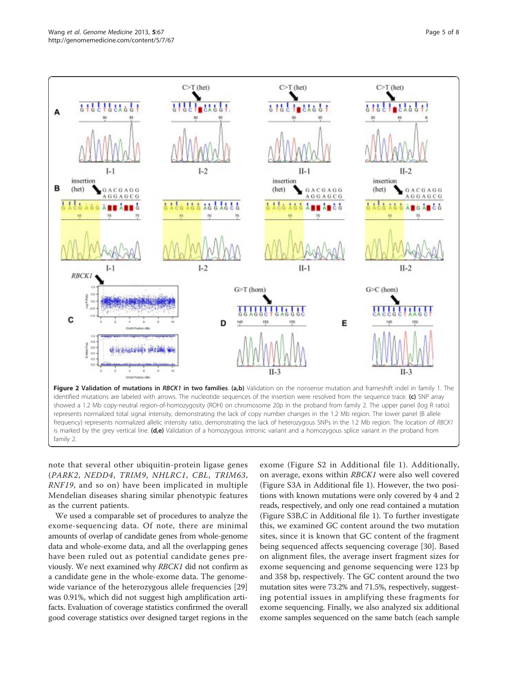<span id="page-4-0"></span>

note that several other ubiquitin-protein ligase genes (PARK2, NEDD4, TRIM9, NHLRC1, CBL, TRIM63, RNF19, and so on) have been implicated in multiple Mendelian diseases sharing similar phenotypic features as the current patients.

We used a comparable set of procedures to analyze the exome-sequencing data. Of note, there are minimal amounts of overlap of candidate genes from whole-genome data and whole-exome data, and all the overlapping genes have been ruled out as potential candidate genes previously. We next examined why RBCK1 did not confirm as a candidate gene in the whole-exome data. The genomewide variance of the heterozygous allele frequencies [[29](#page-7-0)] was 0.91%, which did not suggest high amplification artifacts. Evaluation of coverage statistics confirmed the overall good coverage statistics over designed target regions in the

exome (Figure S2 in Additional file [1\)](#page-6-0). Additionally, on average, exons within RBCK1 were also well covered (Figure S3A in Additional file [1](#page-6-0)). However, the two positions with known mutations were only covered by 4 and 2 reads, respectively, and only one read contained a mutation (Figure S3B,C in Additional file [1](#page-6-0)). To further investigate this, we examined GC content around the two mutation sites, since it is known that GC content of the fragment being sequenced affects sequencing coverage [\[30](#page-7-0)]. Based on alignment files, the average insert fragment sizes for exome sequencing and genome sequencing were 123 bp and 358 bp, respectively. The GC content around the two mutation sites were 73.2% and 71.5%, respectively, suggesting potential issues in amplifying these fragments for exome sequencing. Finally, we also analyzed six additional exome samples sequenced on the same batch (each sample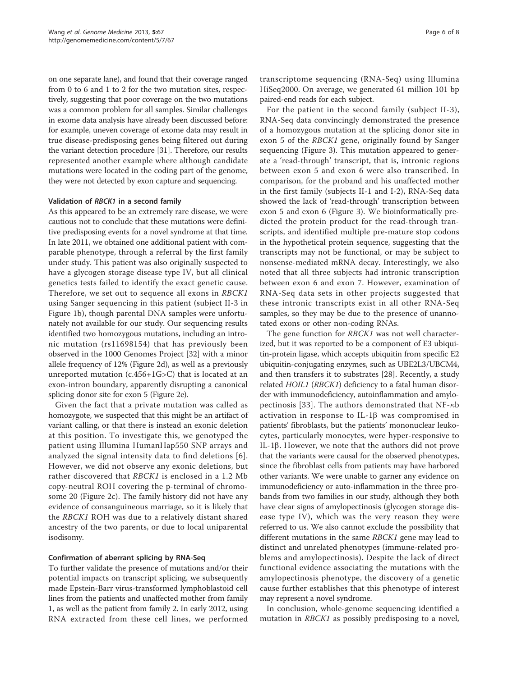on one separate lane), and found that their coverage ranged from 0 to 6 and 1 to 2 for the two mutation sites, respectively, suggesting that poor coverage on the two mutations was a common problem for all samples. Similar challenges in exome data analysis have already been discussed before: for example, uneven coverage of exome data may result in true disease-predisposing genes being filtered out during the variant detection procedure [\[31\]](#page-7-0). Therefore, our results represented another example where although candidate mutations were located in the coding part of the genome, they were not detected by exon capture and sequencing.

### Validation of RBCK1 in a second family

As this appeared to be an extremely rare disease, we were cautious not to conclude that these mutations were definitive predisposing events for a novel syndrome at that time. In late 2011, we obtained one additional patient with comparable phenotype, through a referral by the first family under study. This patient was also originally suspected to have a glycogen storage disease type IV, but all clinical genetics tests failed to identify the exact genetic cause. Therefore, we set out to sequence all exons in RBCK1 using Sanger sequencing in this patient (subject II-3 in Figure [1b\)](#page-2-0), though parental DNA samples were unfortunately not available for our study. Our sequencing results identified two homozygous mutations, including an intronic mutation (rs11698154) that has previously been observed in the 1000 Genomes Project [[32](#page-7-0)] with a minor allele frequency of 12% (Figure [2d\)](#page-4-0), as well as a previously unreported mutation (c.456+1G>C) that is located at an exon-intron boundary, apparently disrupting a canonical splicing donor site for exon 5 (Figure [2e\)](#page-4-0).

Given the fact that a private mutation was called as homozygote, we suspected that this might be an artifact of variant calling, or that there is instead an exonic deletion at this position. To investigate this, we genotyped the patient using Illumina HumanHap550 SNP arrays and analyzed the signal intensity data to find deletions [[6\]](#page-7-0). However, we did not observe any exonic deletions, but rather discovered that RBCK1 is enclosed in a 1.2 Mb copy-neutral ROH covering the p-terminal of chromosome 20 (Figure [2c](#page-4-0)). The family history did not have any evidence of consanguineous marriage, so it is likely that the RBCK1 ROH was due to a relatively distant shared ancestry of the two parents, or due to local uniparental isodisomy.

### Confirmation of aberrant splicing by RNA-Seq

To further validate the presence of mutations and/or their potential impacts on transcript splicing, we subsequently made Epstein-Barr virus-transformed lymphoblastoid cell lines from the patients and unaffected mother from family 1, as well as the patient from family 2. In early 2012, using RNA extracted from these cell lines, we performed

transcriptome sequencing (RNA-Seq) using Illumina HiSeq2000. On average, we generated 61 million 101 bp paired-end reads for each subject.

For the patient in the second family (subject II-3), RNA-Seq data convincingly demonstrated the presence of a homozygous mutation at the splicing donor site in exon 5 of the RBCK1 gene, originally found by Sanger sequencing (Figure [3](#page-6-0)). This mutation appeared to generate a 'read-through' transcript, that is, intronic regions between exon 5 and exon 6 were also transcribed. In comparison, for the proband and his unaffected mother in the first family (subjects II-1 and I-2), RNA-Seq data showed the lack of 'read-through' transcription between exon 5 and exon 6 (Figure [3\)](#page-6-0). We bioinformatically predicted the protein product for the read-through transcripts, and identified multiple pre-mature stop codons in the hypothetical protein sequence, suggesting that the transcripts may not be functional, or may be subject to nonsense-mediated mRNA decay. Interestingly, we also noted that all three subjects had intronic transcription between exon 6 and exon 7. However, examination of RNA-Seq data sets in other projects suggested that these intronic transcripts exist in all other RNA-Seq samples, so they may be due to the presence of unannotated exons or other non-coding RNAs.

The gene function for RBCK1 was not well characterized, but it was reported to be a component of E3 ubiquitin-protein ligase, which accepts ubiquitin from specific E2 ubiquitin-conjugating enzymes, such as UBE2L3/UBCM4, and then transfers it to substrates [\[28](#page-7-0)]. Recently, a study related HOIL1 (RBCK1) deficiency to a fatal human disorder with immunodeficiency, autoinflammation and amylo-pectinosis [[33](#page-7-0)]. The authors demonstrated that NF- $\kappa$ b activation in response to IL-1 $\beta$  was compromised in patients' fibroblasts, but the patients' mononuclear leukocytes, particularly monocytes, were hyper-responsive to IL-1 $\beta$ . However, we note that the authors did not prove that the variants were causal for the observed phenotypes, since the fibroblast cells from patients may have harbored other variants. We were unable to garner any evidence on immunodeficiency or auto-inflammation in the three probands from two families in our study, although they both have clear signs of amylopectinosis (glycogen storage disease type IV), which was the very reason they were referred to us. We also cannot exclude the possibility that different mutations in the same RBCK1 gene may lead to distinct and unrelated phenotypes (immune-related problems and amylopectinosis). Despite the lack of direct functional evidence associating the mutations with the amylopectinosis phenotype, the discovery of a genetic cause further establishes that this phenotype of interest may represent a novel syndrome.

In conclusion, whole-genome sequencing identified a mutation in *RBCK1* as possibly predisposing to a novel,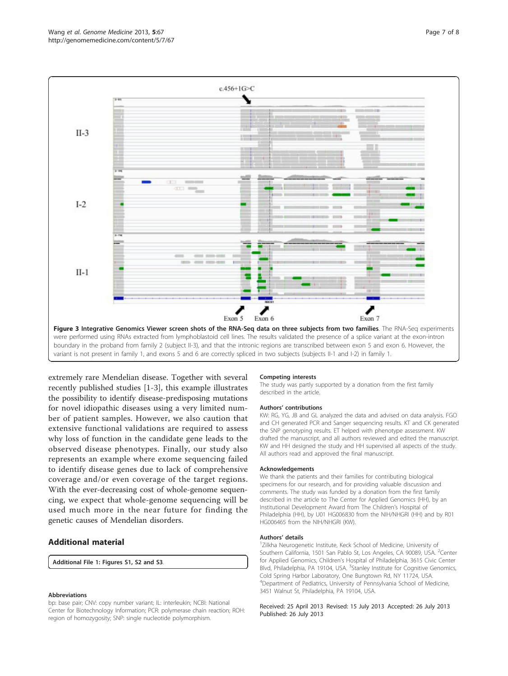<span id="page-6-0"></span>

extremely rare Mendelian disease. Together with several recently published studies [[1-3](#page-7-0)], this example illustrates the possibility to identify disease-predisposing mutations for novel idiopathic diseases using a very limited number of patient samples. However, we also caution that extensive functional validations are required to assess why loss of function in the candidate gene leads to the observed disease phenotypes. Finally, our study also represents an example where exome sequencing failed to identify disease genes due to lack of comprehensive coverage and/or even coverage of the target regions. With the ever-decreasing cost of whole-genome sequencing, we expect that whole-genome sequencing will be used much more in the near future for finding the genetic causes of Mendelian disorders.

### Additional material

[Additional File 1:](http://www.biomedcentral.com/content/supplementary/gm471-S1.DOCX) Figures S1, S2 and S3.

#### Abbreviations

bp: base pair; CNV: copy number variant; IL: interleukin; NCBI: National Center for Biotechnology Information; PCR: polymerase chain reaction; ROH: region of homozygosity; SNP: single nucleotide polymorphism.

#### Competing interests

The study was partly supported by a donation from the first family described in the article.

#### Authors' contributions

KW: RG, YG, JB and GL analyzed the data and advised on data analysis. FGO and CH generated PCR and Sanger sequencing results. KT and CK generated the SNP genotyping results. ET helped with phenotype assessment. KW drafted the manuscript, and all authors reviewed and edited the manuscript. KW and HH designed the study and HH supervised all aspects of the study. All authors read and approved the final manuscript.

#### Acknowledgements

We thank the patients and their families for contributing biological specimens for our research, and for providing valuable discussion and comments. The study was funded by a donation from the first family described in the article to The Center for Applied Genomics (HH), by an Institutional Development Award from The Children's Hospital of Philadelphia (HH), by U01 HG006830 from the NIH/NHGRI (HH) and by R01 HG006465 from the NIH/NHGRI (KW).

#### Authors' details <sup>1</sup>

Zilkha Neurogenetic Institute, Keck School of Medicine, University of Southern California, 1501 San Pablo St, Los Angeles, CA 90089, USA. <sup>2</sup>Center for Applied Genomics, Children's Hospital of Philadelphia, 3615 Civic Center Blvd, Philadelphia, PA 19104, USA. <sup>3</sup>Stanley Institute for Cognitive Genomics Cold Spring Harbor Laboratory, One Bungtown Rd, NY 11724, USA. 4 Department of Pediatrics, University of Pennsylvania School of Medicine, 3451 Walnut St, Philadelphia, PA 19104, USA.

#### Received: 25 April 2013 Revised: 15 July 2013 Accepted: 26 July 2013 Published: 26 July 2013